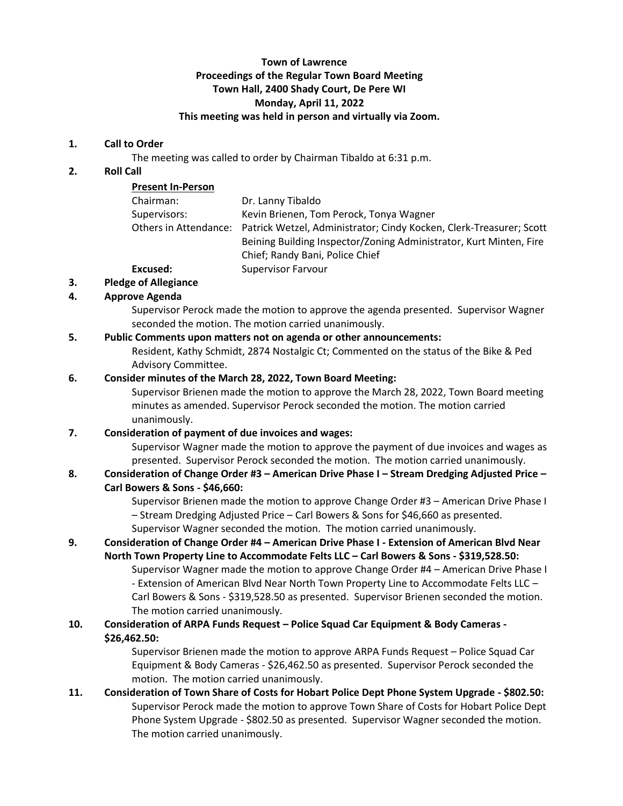## **Town of Lawrence Proceedings of the Regular Town Board Meeting Town Hall, 2400 Shady Court, De Pere WI Monday, April 11, 2022 This meeting was held in person and virtually via Zoom.**

#### **1. Call to Order**

The meeting was called to order by Chairman Tibaldo at 6:31 p.m.

## **2. Roll Call**

| <b>Present In-Person</b> |                                                                                           |
|--------------------------|-------------------------------------------------------------------------------------------|
| Chairman:                | Dr. Lanny Tibaldo                                                                         |
| Supervisors:             | Kevin Brienen, Tom Perock, Tonya Wagner                                                   |
|                          | Others in Attendance: Patrick Wetzel, Administrator; Cindy Kocken, Clerk-Treasurer; Scott |
|                          | Beining Building Inspector/Zoning Administrator, Kurt Minten, Fire                        |
|                          | Chief; Randy Bani, Police Chief                                                           |
| Excused:                 | <b>Supervisor Farvour</b>                                                                 |
|                          |                                                                                           |

#### **3. Pledge of Allegiance**

# **4. Approve Agenda**

Supervisor Perock made the motion to approve the agenda presented. Supervisor Wagner seconded the motion. The motion carried unanimously.

### **5. Public Comments upon matters not on agenda or other announcements:**

Resident, Kathy Schmidt, 2874 Nostalgic Ct; Commented on the status of the Bike & Ped Advisory Committee.

### **6. Consider minutes of the March 28, 2022, Town Board Meeting:**

Supervisor Brienen made the motion to approve the March 28, 2022, Town Board meeting minutes as amended. Supervisor Perock seconded the motion. The motion carried unanimously.

# **7. Consideration of payment of due invoices and wages:**

Supervisor Wagner made the motion to approve the payment of due invoices and wages as presented. Supervisor Perock seconded the motion. The motion carried unanimously.

### **8. Consideration of Change Order #3 – American Drive Phase I – Stream Dredging Adjusted Price – Carl Bowers & Sons - \$46,660:**

Supervisor Brienen made the motion to approve Change Order #3 – American Drive Phase I – Stream Dredging Adjusted Price – Carl Bowers & Sons for \$46,660 as presented. Supervisor Wagner seconded the motion. The motion carried unanimously.

### **9. Consideration of Change Order #4 – American Drive Phase I - Extension of American Blvd Near North Town Property Line to Accommodate Felts LLC – Carl Bowers & Sons - \$319,528.50:**

Supervisor Wagner made the motion to approve Change Order #4 – American Drive Phase I - Extension of American Blvd Near North Town Property Line to Accommodate Felts LLC – Carl Bowers & Sons - \$319,528.50 as presented. Supervisor Brienen seconded the motion. The motion carried unanimously.

# **10. Consideration of ARPA Funds Request – Police Squad Car Equipment & Body Cameras - \$26,462.50:**

Supervisor Brienen made the motion to approve ARPA Funds Request – Police Squad Car Equipment & Body Cameras - \$26,462.50 as presented. Supervisor Perock seconded the motion. The motion carried unanimously.

# **11. Consideration of Town Share of Costs for Hobart Police Dept Phone System Upgrade - \$802.50:** Supervisor Perock made the motion to approve Town Share of Costs for Hobart Police Dept Phone System Upgrade - \$802.50 as presented. Supervisor Wagner seconded the motion. The motion carried unanimously.